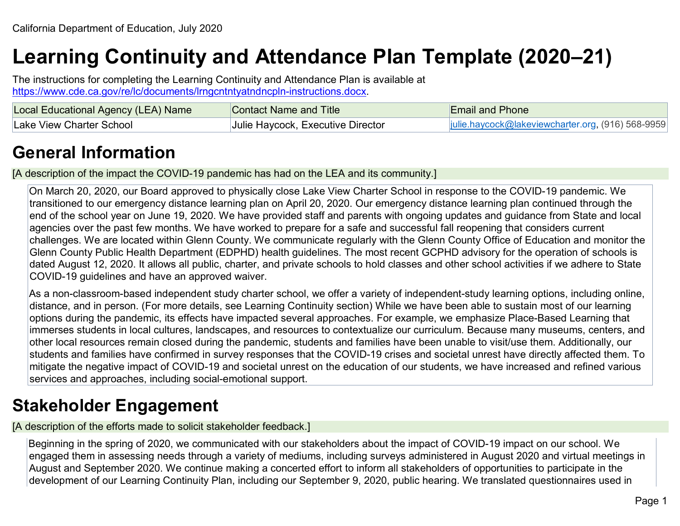# **Learning Continuity and Attendance Plan Template (2020–21)**

The instructions for completing the Learning Continuity and Attendance Plan is available at [https://www.cde.ca.gov/re/lc/documents/lrngcntntyatndncpln-instructions.docx.](https://www.cde.ca.gov/re/lc/documents/lrngcntntyatndncpln-instructions.docx)

| Local Educational Agency (LEA) Name | Contact Name and Title            | <b>Email and Phone</b>                            |
|-------------------------------------|-----------------------------------|---------------------------------------------------|
| Lake View Charter School            | Julie Haycock, Executive Director | julie.haycock@lakeviewcharter.org, (916) 568-9959 |

## **General Information**

[A description of the impact the COVID-19 pandemic has had on the LEA and its community.]

On March 20, 2020, our Board approved to physically close Lake View Charter School in response to the COVID-19 pandemic. We transitioned to our emergency distance learning plan on April 20, 2020. Our emergency distance learning plan continued through the end of the school year on June 19, 2020. We have provided staff and parents with ongoing updates and guidance from State and local agencies over the past few months. We have worked to prepare for a safe and successful fall reopening that considers current challenges. We are located within Glenn County. We communicate regularly with the Glenn County Office of Education and monitor the Glenn County Public Health Department (EDPHD) health guidelines. The most recent GCPHD advisory for the operation of schools is dated August 12, 2020. It allows all public, charter, and private schools to hold classes and other school activities if we adhere to State COVID-19 guidelines and have an approved waiver.

As a non-classroom-based independent study charter school, we offer a variety of independent-study learning options, including online, distance, and in person. (For more details, see Learning Continuity section) While we have been able to sustain most of our learning options during the pandemic, its effects have impacted several approaches. For example, we emphasize Place-Based Learning that immerses students in local cultures, landscapes, and resources to contextualize our curriculum. Because many museums, centers, and other local resources remain closed during the pandemic, students and families have been unable to visit/use them. Additionally, our students and families have confirmed in survey responses that the COVID-19 crises and societal unrest have directly affected them. To mitigate the negative impact of COVID-19 and societal unrest on the education of our students, we have increased and refined various services and approaches, including social-emotional support.

## **Stakeholder Engagement**

[A description of the efforts made to solicit stakeholder feedback.]

Beginning in the spring of 2020, we communicated with our stakeholders about the impact of COVID-19 impact on our school. We engaged them in assessing needs through a variety of mediums, including surveys administered in August 2020 and virtual meetings in August and September 2020. We continue making a concerted effort to inform all stakeholders of opportunities to participate in the development of our Learning Continuity Plan, including our September 9, 2020, public hearing. We translated questionnaires used in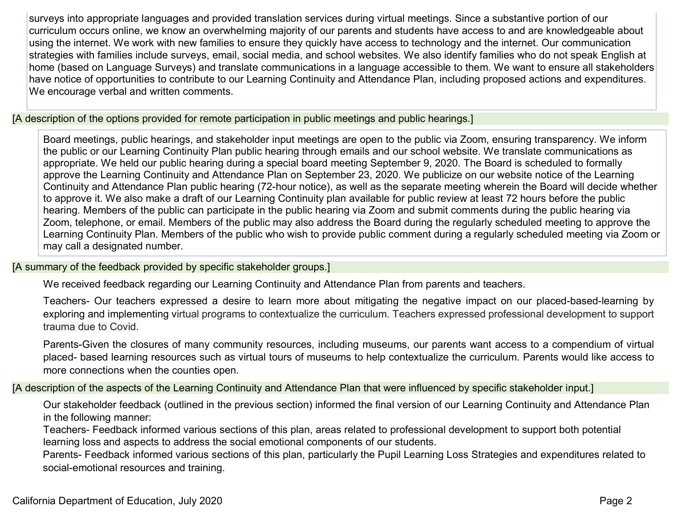surveys into appropriate languages and provided translation services during virtual meetings. Since a substantive portion of our curriculum occurs online, we know an overwhelming majority of our parents and students have access to and are knowledgeable about using the internet. We work with new families to ensure they quickly have access to technology and the internet. Our communication strategies with families include surveys, email, social media, and school websites. We also identify families who do not speak English at home (based on Language Surveys) and translate communications in a language accessible to them. We want to ensure all stakeholders have notice of opportunities to contribute to our Learning Continuity and Attendance Plan, including proposed actions and expenditures. We encourage verbal and written comments.

[A description of the options provided for remote participation in public meetings and public hearings.]

Board meetings, public hearings, and stakeholder input meetings are open to the public via Zoom, ensuring transparency. We inform the public or our Learning Continuity Plan public hearing through emails and our school website. We translate communications as appropriate. We held our public hearing during a special board meeting September 9, 2020. The Board is scheduled to formally approve the Learning Continuity and Attendance Plan on September 23, 2020. We publicize on our website notice of the Learning Continuity and Attendance Plan public hearing (72-hour notice), as well as the separate meeting wherein the Board will decide whether to approve it. We also make a draft of our Learning Continuity plan available for public review at least 72 hours before the public hearing. Members of the public can participate in the public hearing via Zoom and submit comments during the public hearing via Zoom, telephone, or email. Members of the public may also address the Board during the regularly scheduled meeting to approve the Learning Continuity Plan. Members of the public who wish to provide public comment during a regularly scheduled meeting via Zoom or may call a designated number.

[A summary of the feedback provided by specific stakeholder groups.]

We received feedback regarding our Learning Continuity and Attendance Plan from parents and teachers.

Teachers- Our teachers expressed a desire to learn more about mitigating the negative impact on our placed-based-learning by exploring and implementing virtual programs to contextualize the curriculum. Teachers expressed professional development to support trauma due to Covid.

Parents-Given the closures of many community resources, including museums, our parents want access to a compendium of virtual placed- based learning resources such as virtual tours of museums to help contextualize the curriculum. Parents would like access to more connections when the counties open.

[A description of the aspects of the Learning Continuity and Attendance Plan that were influenced by specific stakeholder input.]

Our stakeholder feedback (outlined in the previous section) informed the final version of our Learning Continuity and Attendance Plan in the following manner:

Teachers- Feedback informed various sections of this plan, areas related to professional development to support both potential learning loss and aspects to address the social emotional components of our students.

Parents- Feedback informed various sections of this plan, particularly the Pupil Learning Loss Strategies and expenditures related to social-emotional resources and training.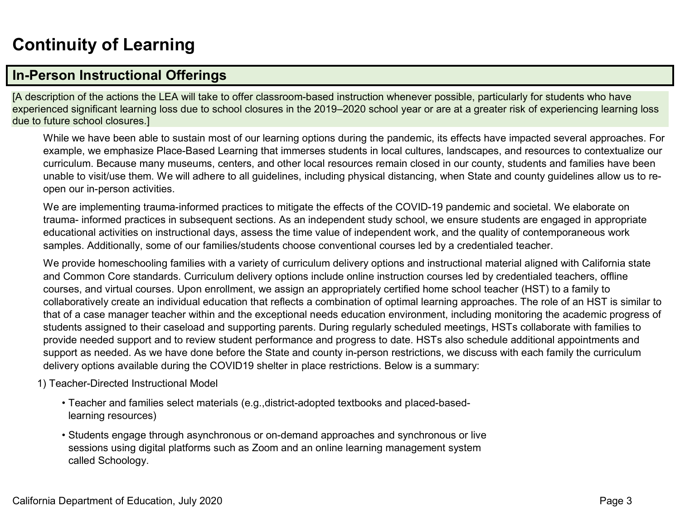## **Continuity of Learning**

## **In-Person Instructional Offerings**

[A description of the actions the LEA will take to offer classroom-based instruction whenever possible, particularly for students who have experienced significant learning loss due to school closures in the 2019–2020 school year or are at a greater risk of experiencing learning loss due to future school closures.]

While we have been able to sustain most of our learning options during the pandemic, its effects have impacted several approaches. For example, we emphasize Place-Based Learning that immerses students in local cultures, landscapes, and resources to contextualize our curriculum. Because many museums, centers, and other local resources remain closed in our county, students and families have been unable to visit/use them. We will adhere to all guidelines, including physical distancing, when State and county guidelines allow us to reopen our in-person activities.

We are implementing trauma-informed practices to mitigate the effects of the COVID-19 pandemic and societal. We elaborate on trauma- informed practices in subsequent sections. As an independent study school, we ensure students are engaged in appropriate educational activities on instructional days, assess the time value of independent work, and the quality of contemporaneous work samples. Additionally, some of our families/students choose conventional courses led by a credentialed teacher.

We provide homeschooling families with a variety of curriculum delivery options and instructional material aligned with California state and Common Core standards. Curriculum delivery options include online instruction courses led by credentialed teachers, offline courses, and virtual courses. Upon enrollment, we assign an appropriately certified home school teacher (HST) to a family to collaboratively create an individual education that reflects a combination of optimal learning approaches. The role of an HST is similar to that of a case manager teacher within and the exceptional needs education environment, including monitoring the academic progress of students assigned to their caseload and supporting parents. During regularly scheduled meetings, HSTs collaborate with families to provide needed support and to review student performance and progress to date. HSTs also schedule additional appointments and support as needed. As we have done before the State and county in-person restrictions, we discuss with each family the curriculum delivery options available during the COVID19 shelter in place restrictions. Below is a summary:

1) Teacher-Directed Instructional Model

- Teacher and families select materials (e.g.,district-adopted textbooks and placed-basedlearning resources)
- Students engage through asynchronous or on-demand approaches and synchronous or live sessions using digital platforms such as Zoom and an online learning management system called Schoology.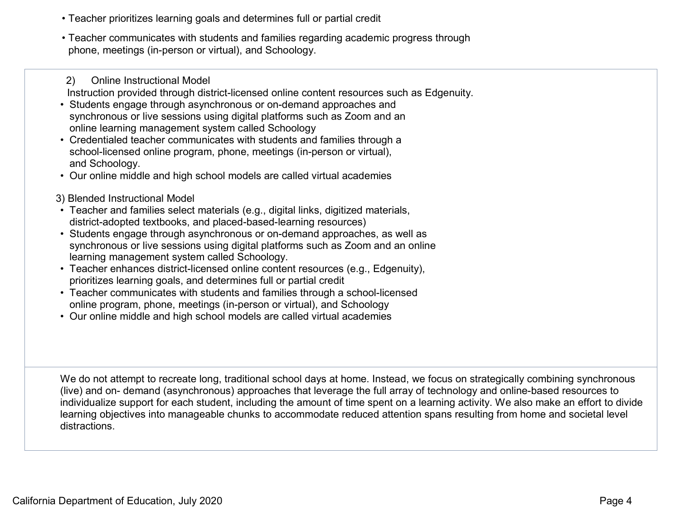- Teacher prioritizes learning goals and determines full or partial credit
- Teacher communicates with students and families regarding academic progress through phone, meetings (in-person or virtual), and Schoology.

2) Online Instructional Model Instruction provided through district-licensed online content resources such as Edgenuity.

- Students engage through asynchronous or on-demand approaches and synchronous or live sessions using digital platforms such as Zoom and an online learning management system called Schoology
- Credentialed teacher communicates with students and families through a school-licensed online program, phone, meetings (in-person or virtual), and Schoology.
- Our online middle and high school models are called virtual academies
- 3) Blended Instructional Model
- Teacher and families select materials (e.g., digital links, digitized materials, district-adopted textbooks, and placed-based-learning resources)
- Students engage through asynchronous or on-demand approaches, as well as synchronous or live sessions using digital platforms such as Zoom and an online learning management system called Schoology.
- Teacher enhances district-licensed online content resources (e.g., Edgenuity), prioritizes learning goals, and determines full or partial credit
- Teacher communicates with students and families through a school-licensed online program, phone, meetings (in-person or virtual), and Schoology
- Our online middle and high school models are called virtual academies

We do not attempt to recreate long, traditional school days at home. Instead, we focus on strategically combining synchronous (live) and on- demand (asynchronous) approaches that leverage the full array of technology and online-based resources to individualize support for each student, including the amount of time spent on a learning activity. We also make an effort to divide learning objectives into manageable chunks to accommodate reduced attention spans resulting from home and societal level distractions.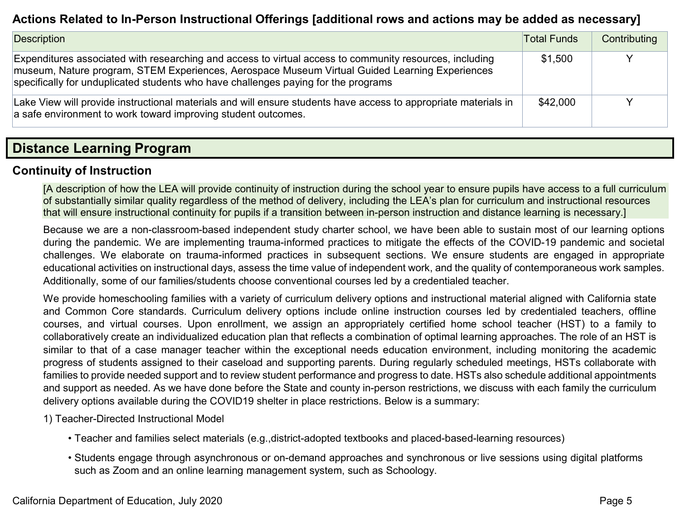### **Actions Related to In-Person Instructional Offerings [additional rows and actions may be added as necessary]**

| Description                                                                                                                                                                                                                                                                                     | <b>Total Funds</b> | Contributing |
|-------------------------------------------------------------------------------------------------------------------------------------------------------------------------------------------------------------------------------------------------------------------------------------------------|--------------------|--------------|
| Expenditures associated with researching and access to virtual access to community resources, including<br>museum, Nature program, STEM Experiences, Aerospace Museum Virtual Guided Learning Experiences<br>specifically for unduplicated students who have challenges paying for the programs | \$1,500            |              |
| Lake View will provide instructional materials and will ensure students have access to appropriate materials in<br>a safe environment to work toward improving student outcomes.                                                                                                                | \$42,000           |              |

### **Distance Learning Program**

#### **Continuity of Instruction**

[A description of how the LEA will provide continuity of instruction during the school year to ensure pupils have access to a full curriculum of substantially similar quality regardless of the method of delivery, including the LEA's plan for curriculum and instructional resources that will ensure instructional continuity for pupils if a transition between in-person instruction and distance learning is necessary.]

Because we are a non-classroom-based independent study charter school, we have been able to sustain most of our learning options during the pandemic. We are implementing trauma-informed practices to mitigate the effects of the COVID-19 pandemic and societal challenges. We elaborate on trauma-informed practices in subsequent sections. We ensure students are engaged in appropriate educational activities on instructional days, assess the time value of independent work, and the quality of contemporaneous work samples. Additionally, some of our families/students choose conventional courses led by a credentialed teacher.

We provide homeschooling families with a variety of curriculum delivery options and instructional material aligned with California state and Common Core standards. Curriculum delivery options include online instruction courses led by credentialed teachers, offline courses, and virtual courses. Upon enrollment, we assign an appropriately certified home school teacher (HST) to a family to collaboratively create an individualized education plan that reflects a combination of optimal learning approaches. The role of an HST is similar to that of a case manager teacher within the exceptional needs education environment, including monitoring the academic progress of students assigned to their caseload and supporting parents. During regularly scheduled meetings, HSTs collaborate with families to provide needed support and to review student performance and progress to date. HSTs also schedule additional appointments and support as needed. As we have done before the State and county in-person restrictions, we discuss with each family the curriculum delivery options available during the COVID19 shelter in place restrictions. Below is a summary:

- 1) Teacher-Directed Instructional Model
	- Teacher and families select materials (e.g.,district-adopted textbooks and placed-based-learning resources)
	- Students engage through asynchronous or on-demand approaches and synchronous or live sessions using digital platforms such as Zoom and an online learning management system, such as Schoology.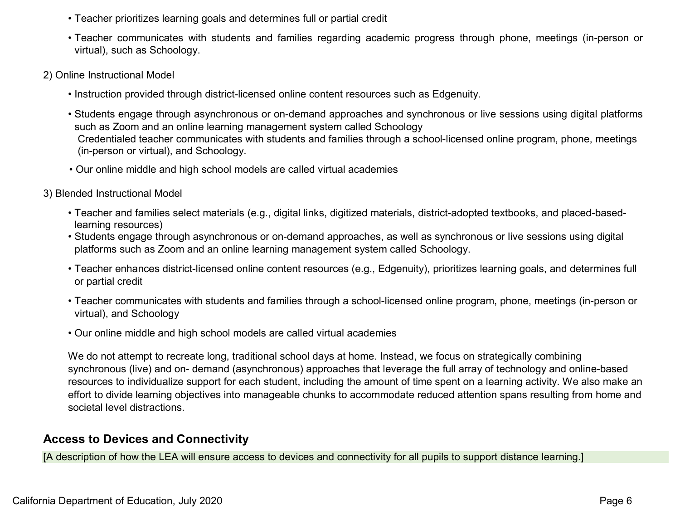- Teacher prioritizes learning goals and determines full or partial credit
- Teacher communicates with students and families regarding academic progress through phone, meetings (in-person or virtual), such as Schoology.
- 2) Online Instructional Model
	- Instruction provided through district-licensed online content resources such as Edgenuity.
	- Students engage through asynchronous or on-demand approaches and synchronous or live sessions using digital platforms such as Zoom and an online learning management system called Schoology Credentialed teacher communicates with students and families through a school-licensed online program, phone, meetings (in-person or virtual), and Schoology.
	- Our online middle and high school models are called virtual academies
- 3) Blended Instructional Model
	- Teacher and families select materials (e.g., digital links, digitized materials, district-adopted textbooks, and placed-basedlearning resources)
	- Students engage through asynchronous or on-demand approaches, as well as synchronous or live sessions using digital platforms such as Zoom and an online learning management system called Schoology.
	- Teacher enhances district-licensed online content resources (e.g., Edgenuity), prioritizes learning goals, and determines full or partial credit
	- Teacher communicates with students and families through a school-licensed online program, phone, meetings (in-person or virtual), and Schoology
	- Our online middle and high school models are called virtual academies

We do not attempt to recreate long, traditional school days at home. Instead, we focus on strategically combining synchronous (live) and on- demand (asynchronous) approaches that leverage the full array of technology and online-based resources to individualize support for each student, including the amount of time spent on a learning activity. We also make an effort to divide learning objectives into manageable chunks to accommodate reduced attention spans resulting from home and societal level distractions.

### **Access to Devices and Connectivity**

[A description of how the LEA will ensure access to devices and connectivity for all pupils to support distance learning.]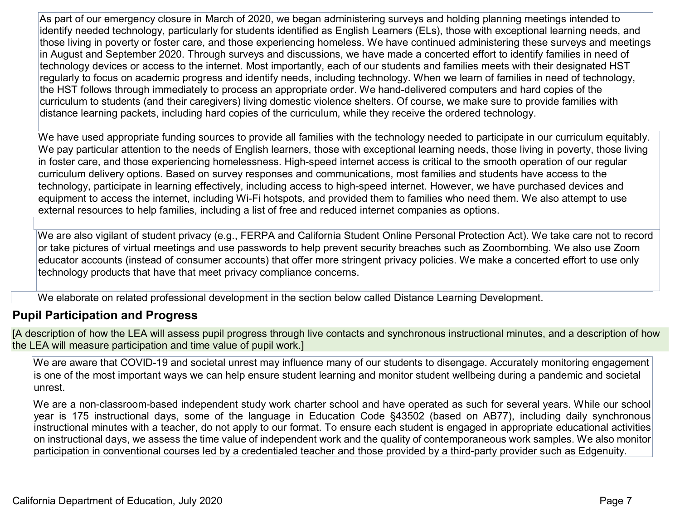As part of our emergency closure in March of 2020, we began administering surveys and holding planning meetings intended to identify needed technology, particularly for students identified as English Learners (ELs), those with exceptional learning needs, and those living in poverty or foster care, and those experiencing homeless. We have continued administering these surveys and meetings in August and September 2020. Through surveys and discussions, we have made a concerted effort to identify families in need of technology devices or access to the internet. Most importantly, each of our students and families meets with their designated HST regularly to focus on academic progress and identify needs, including technology. When we learn of families in need of technology, the HST follows through immediately to process an appropriate order. We hand-delivered computers and hard copies of the curriculum to students (and their caregivers) living domestic violence shelters. Of course, we make sure to provide families with distance learning packets, including hard copies of the curriculum, while they receive the ordered technology.

We have used appropriate funding sources to provide all families with the technology needed to participate in our curriculum equitably. We pay particular attention to the needs of English learners, those with exceptional learning needs, those living in poverty, those living in foster care, and those experiencing homelessness. High-speed internet access is critical to the smooth operation of our regular curriculum delivery options. Based on survey responses and communications, most families and students have access to the technology, participate in learning effectively, including access to high-speed internet. However, we have purchased devices and equipment to access the internet, including Wi-Fi hotspots, and provided them to families who need them. We also attempt to use external resources to help families, including a list of free and reduced internet companies as options.

We are also vigilant of student privacy (e.g., FERPA and California Student Online Personal Protection Act). We take care not to record or take pictures of virtual meetings and use passwords to help prevent security breaches such as Zoombombing. We also use Zoom educator accounts (instead of consumer accounts) that offer more stringent privacy policies. We make a concerted effort to use only technology products that have that meet privacy compliance concerns.

We elaborate on related professional development in the section below called Distance Learning Development.

### **Pupil Participation and Progress**

[A description of how the LEA will assess pupil progress through live contacts and synchronous instructional minutes, and a description of how the LEA will measure participation and time value of pupil work.]

We are aware that COVID-19 and societal unrest may influence many of our students to disengage. Accurately monitoring engagement is one of the most important ways we can help ensure student learning and monitor student wellbeing during a pandemic and societal unrest.

We are a non-classroom-based independent study work charter school and have operated as such for several years. While our school year is 175 instructional days, some of the language in Education Code §43502 (based on AB77), including daily synchronous instructional minutes with a teacher, do not apply to our format. To ensure each student is engaged in appropriate educational activities on instructional days, we assess the time value of independent work and the quality of contemporaneous work samples. We also monitor participation in conventional courses led by a credentialed teacher and those provided by a third-party provider such as Edgenuity.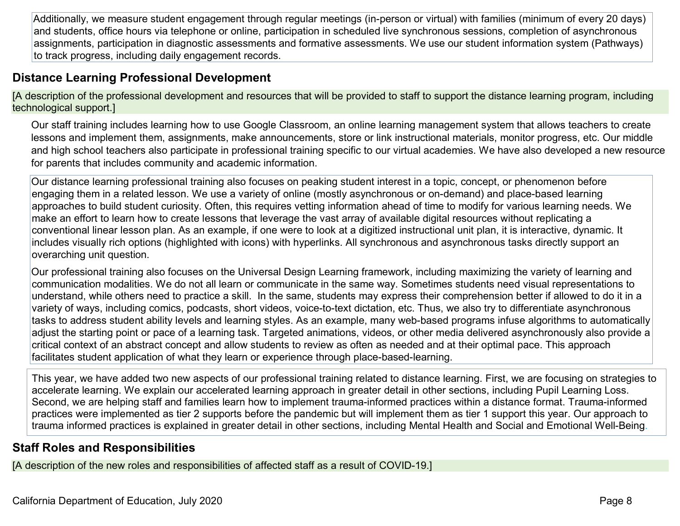Additionally, we measure student engagement through regular meetings (in-person or virtual) with families (minimum of every 20 days) and students, office hours via telephone or online, participation in scheduled live synchronous sessions, completion of asynchronous assignments, participation in diagnostic assessments and formative assessments. We use our student information system (Pathways) to track progress, including daily engagement records.

## **Distance Learning Professional Development**

[A description of the professional development and resources that will be provided to staff to support the distance learning program, including technological support.]

Our staff training includes learning how to use Google Classroom, an online learning management system that allows teachers to create lessons and implement them, assignments, make announcements, store or link instructional materials, monitor progress, etc. Our middle and high school teachers also participate in professional training specific to our virtual academies. We have also developed a new resource for parents that includes community and academic information.

Our distance learning professional training also focuses on peaking student interest in a topic, concept, or phenomenon before engaging them in a related lesson. We use a variety of online (mostly asynchronous or on-demand) and place-based learning approaches to build student curiosity. Often, this requires vetting information ahead of time to modify for various learning needs. We make an effort to learn how to create lessons that leverage the vast array of available digital resources without replicating a conventional linear lesson plan. As an example, if one were to look at a digitized instructional unit plan, it is interactive, dynamic. It includes visually rich options (highlighted with icons) with hyperlinks. All synchronous and asynchronous tasks directly support an overarching unit question.

Our professional training also focuses on the Universal Design Learning framework, including maximizing the variety of learning and communication modalities. We do not all learn or communicate in the same way. Sometimes students need visual representations to understand, while others need to practice a skill. In the same, students may express their comprehension better if allowed to do it in a variety of ways, including comics, podcasts, short videos, voice-to-text dictation, etc. Thus, we also try to differentiate asynchronous tasks to address student ability levels and learning styles. As an example, many web-based programs infuse algorithms to automatically adjust the starting point or pace of a learning task. Targeted animations, videos, or other media delivered asynchronously also provide a critical context of an abstract concept and allow students to review as often as needed and at their optimal pace. This approach facilitates student application of what they learn or experience through place-based-learning.

This year, we have added two new aspects of our professional training related to distance learning. First, we are focusing on strategies to accelerate learning. We explain our accelerated learning approach in greater detail in other sections, including Pupil Learning Loss. Second, we are helping staff and families learn how to implement trauma-informed practices within a distance format. Trauma-informed practices were implemented as tier 2 supports before the pandemic but will implement them as tier 1 support this year. Our approach to trauma informed practices is explained in greater detail in other sections, including Mental Health and Social and Emotional Well-Being.

### **Staff Roles and Responsibilities**

[A description of the new roles and responsibilities of affected staff as a result of COVID-19.]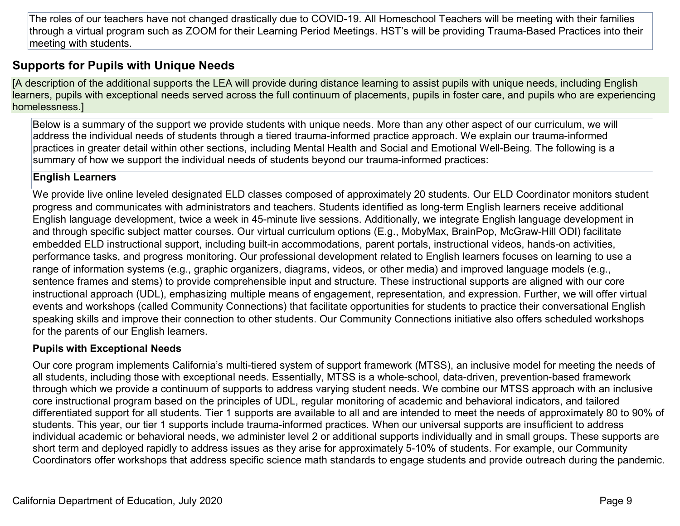The roles of our teachers have not changed drastically due to COVID-19. All Homeschool Teachers will be meeting with their families through a virtual program such as ZOOM for their Learning Period Meetings. HST's will be providing Trauma-Based Practices into their meeting with students.

### **Supports for Pupils with Unique Needs**

[A description of the additional supports the LEA will provide during distance learning to assist pupils with unique needs, including English learners, pupils with exceptional needs served across the full continuum of placements, pupils in foster care, and pupils who are experiencing homelessness.]

Below is a summary of the support we provide students with unique needs. More than any other aspect of our curriculum, we will address the individual needs of students through a tiered trauma-informed practice approach. We explain our trauma-informed practices in greater detail within other sections, including Mental Health and Social and Emotional Well-Being. The following is a summary of how we support the individual needs of students beyond our trauma-informed practices:

#### **English Learners**

We provide live online leveled designated ELD classes composed of approximately 20 students. Our ELD Coordinator monitors student progress and communicates with administrators and teachers. Students identified as long-term English learners receive additional English language development, twice a week in 45-minute live sessions. Additionally, we integrate English language development in and through specific subject matter courses. Our virtual curriculum options (E.g., MobyMax, BrainPop, McGraw-Hill ODI) facilitate embedded ELD instructional support, including built-in accommodations, parent portals, instructional videos, hands-on activities, performance tasks, and progress monitoring. Our professional development related to English learners focuses on learning to use a range of information systems (e.g., graphic organizers, diagrams, videos, or other media) and improved language models (e.g., sentence frames and stems) to provide comprehensible input and structure. These instructional supports are aligned with our core instructional approach (UDL), emphasizing multiple means of engagement, representation, and expression. Further, we will offer virtual events and workshops (called Community Connections) that facilitate opportunities for students to practice their conversational English speaking skills and improve their connection to other students. Our Community Connections initiative also offers scheduled workshops for the parents of our English learners.

#### **Pupils with Exceptional Needs**

Our core program implements California's multi-tiered system of support framework (MTSS), an inclusive model for meeting the needs of all students, including those with exceptional needs. Essentially, MTSS is a whole-school, data-driven, prevention-based framework through which we provide a continuum of supports to address varying student needs. We combine our MTSS approach with an inclusive core instructional program based on the principles of UDL, regular monitoring of academic and behavioral indicators, and tailored differentiated support for all students. Tier 1 supports are available to all and are intended to meet the needs of approximately 80 to 90% of students. This year, our tier 1 supports include trauma-informed practices. When our universal supports are insufficient to address individual academic or behavioral needs, we administer level 2 or additional supports individually and in small groups. These supports are short term and deployed rapidly to address issues as they arise for approximately 5-10% of students. For example, our Community Coordinators offer workshops that address specific science math standards to engage students and provide outreach during the pandemic.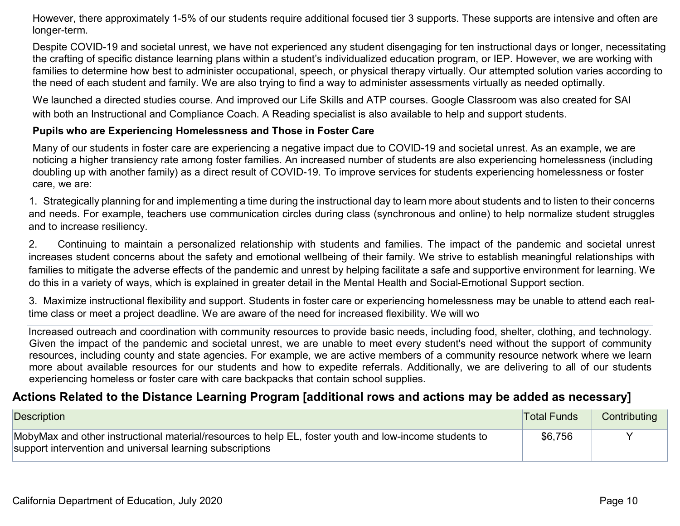However, there approximately 1-5% of our students require additional focused tier 3 supports. These supports are intensive and often are longer-term.

Despite COVID-19 and societal unrest, we have not experienced any student disengaging for ten instructional days or longer, necessitating the crafting of specific distance learning plans within a student's individualized education program, or IEP. However, we are working with families to determine how best to administer occupational, speech, or physical therapy virtually. Our attempted solution varies according to the need of each student and family. We are also trying to find a way to administer assessments virtually as needed optimally.

We launched a directed studies course. And improved our Life Skills and ATP courses. Google Classroom was also created for SAI with both an Instructional and Compliance Coach. A Reading specialist is also available to help and support students.

#### **Pupils who are Experiencing Homelessness and Those in Foster Care**

Many of our students in foster care are experiencing a negative impact due to COVID-19 and societal unrest. As an example, we are noticing a higher transiency rate among foster families. An increased number of students are also experiencing homelessness (including doubling up with another family) as a direct result of COVID-19. To improve services for students experiencing homelessness or foster care, we are:

1. Strategically planning for and implementing a time during the instructional day to learn more about students and to listen to their concerns and needs. For example, teachers use communication circles during class (synchronous and online) to help normalize student struggles and to increase resiliency.

2. Continuing to maintain a personalized relationship with students and families. The impact of the pandemic and societal unrest increases student concerns about the safety and emotional wellbeing of their family. We strive to establish meaningful relationships with families to mitigate the adverse effects of the pandemic and unrest by helping facilitate a safe and supportive environment for learning. We do this in a variety of ways, which is explained in greater detail in the Mental Health and Social-Emotional Support section.

3. Maximize instructional flexibility and support. Students in foster care or experiencing homelessness may be unable to attend each realtime class or meet a project deadline. We are aware of the need for increased flexibility. We will wo

Increased outreach and coordination with community resources to provide basic needs, including food, shelter, clothing, and technology. Given the impact of the pandemic and societal unrest, we are unable to meet every student's need without the support of community resources, including county and state agencies. For example, we are active members of a community resource network where we learn more about available resources for our students and how to expedite referrals. Additionally, we are delivering to all of our students experiencing homeless or foster care with care backpacks that contain school supplies.

#### **Actions Related to the Distance Learning Program [additional rows and actions may be added as necessary]**

| Description                                                                                                                                                         | <b>Total Funds</b> | Contributing |
|---------------------------------------------------------------------------------------------------------------------------------------------------------------------|--------------------|--------------|
| MobyMax and other instructional material/resources to help EL, foster youth and low-income students to<br>support intervention and universal learning subscriptions | \$6,756            |              |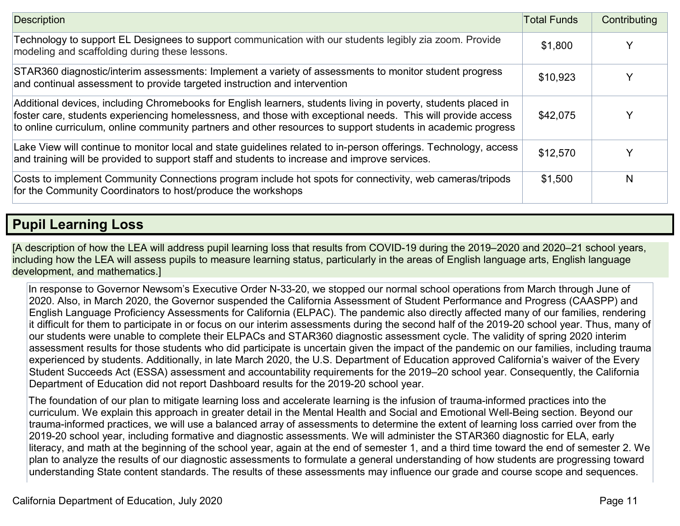| Description                                                                                                                                                                                                                                                                                                                                   | <b>Total Funds</b> | Contributing |
|-----------------------------------------------------------------------------------------------------------------------------------------------------------------------------------------------------------------------------------------------------------------------------------------------------------------------------------------------|--------------------|--------------|
| Technology to support EL Designees to support communication with our students legibly zia zoom. Provide<br>modeling and scaffolding during these lessons.                                                                                                                                                                                     | \$1,800            |              |
| STAR360 diagnostic/interim assessments: Implement a variety of assessments to monitor student progress<br>and continual assessment to provide targeted instruction and intervention                                                                                                                                                           | \$10,923           |              |
| Additional devices, including Chromebooks for English learners, students living in poverty, students placed in<br>foster care, students experiencing homelessness, and those with exceptional needs. This will provide access<br>to online curriculum, online community partners and other resources to support students in academic progress | \$42,075           | $\checkmark$ |
| Lake View will continue to monitor local and state guidelines related to in-person offerings. Technology, access<br>and training will be provided to support staff and students to increase and improve services.                                                                                                                             | \$12,570           | $\checkmark$ |
| Costs to implement Community Connections program include hot spots for connectivity, web cameras/tripods<br>for the Community Coordinators to host/produce the workshops                                                                                                                                                                      | \$1,500            | N            |

## **Pupil Learning Loss**

[A description of how the LEA will address pupil learning loss that results from COVID-19 during the 2019–2020 and 2020–21 school years, including how the LEA will assess pupils to measure learning status, particularly in the areas of English language arts, English language development, and mathematics.]

In response to Governor Newsom's Executive Order N-33-20, we stopped our normal school operations from March through June of 2020. Also, in March 2020, the Governor suspended the California Assessment of Student Performance and Progress (CAASPP) and English Language Proficiency Assessments for California (ELPAC). The pandemic also directly affected many of our families, rendering it difficult for them to participate in or focus on our interim assessments during the second half of the 2019-20 school year. Thus, many of our students were unable to complete their ELPACs and STAR360 diagnostic assessment cycle. The validity of spring 2020 interim assessment results for those students who did participate is uncertain given the impact of the pandemic on our families, including trauma experienced by students. Additionally, in late March 2020, the U.S. Department of Education approved California's waiver of the Every Student Succeeds Act (ESSA) assessment and accountability requirements for the 2019–20 school year. Consequently, the California Department of Education did not report Dashboard results for the 2019-20 school year.

The foundation of our plan to mitigate learning loss and accelerate learning is the infusion of trauma-informed practices into the curriculum. We explain this approach in greater detail in the Mental Health and Social and Emotional Well-Being section. Beyond our trauma-informed practices, we will use a balanced array of assessments to determine the extent of learning loss carried over from the 2019-20 school year, including formative and diagnostic assessments. We will administer the STAR360 diagnostic for ELA, early literacy, and math at the beginning of the school year, again at the end of semester 1, and a third time toward the end of semester 2. We plan to analyze the results of our diagnostic assessments to formulate a general understanding of how students are progressing toward understanding State content standards. The results of these assessments may influence our grade and course scope and sequences.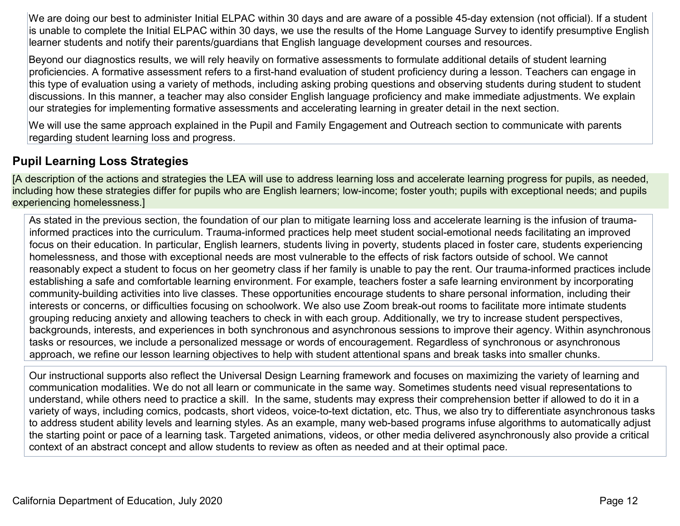We are doing our best to administer Initial ELPAC within 30 days and are aware of a possible 45-day extension (not official). If a student is unable to complete the Initial ELPAC within 30 days, we use the results of the Home Language Survey to identify presumptive English learner students and notify their parents/guardians that English language development courses and resources.

Beyond our diagnostics results, we will rely heavily on formative assessments to formulate additional details of student learning proficiencies. A formative assessment refers to a first-hand evaluation of student proficiency during a lesson. Teachers can engage in this type of evaluation using a variety of methods, including asking probing questions and observing students during student to student discussions. In this manner, a teacher may also consider English language proficiency and make immediate adjustments. We explain our strategies for implementing formative assessments and accelerating learning in greater detail in the next section.

We will use the same approach explained in the Pupil and Family Engagement and Outreach section to communicate with parents regarding student learning loss and progress.

### **Pupil Learning Loss Strategies**

[A description of the actions and strategies the LEA will use to address learning loss and accelerate learning progress for pupils, as needed, including how these strategies differ for pupils who are English learners; low-income; foster youth; pupils with exceptional needs; and pupils experiencing homelessness.]

As stated in the previous section, the foundation of our plan to mitigate learning loss and accelerate learning is the infusion of traumainformed practices into the curriculum. Trauma-informed practices help meet student social-emotional needs facilitating an improved focus on their education. In particular, English learners, students living in poverty, students placed in foster care, students experiencing homelessness, and those with exceptional needs are most vulnerable to the effects of risk factors outside of school. We cannot reasonably expect a student to focus on her geometry class if her family is unable to pay the rent. Our trauma-informed practices include establishing a safe and comfortable learning environment. For example, teachers foster a safe learning environment by incorporating community-building activities into live classes. These opportunities encourage students to share personal information, including their interests or concerns, or difficulties focusing on schoolwork. We also use Zoom break-out rooms to facilitate more intimate students grouping reducing anxiety and allowing teachers to check in with each group. Additionally, we try to increase student perspectives, backgrounds, interests, and experiences in both synchronous and asynchronous sessions to improve their agency. Within asynchronous tasks or resources, we include a personalized message or words of encouragement. Regardless of synchronous or asynchronous approach, we refine our lesson learning objectives to help with student attentional spans and break tasks into smaller chunks.

Our instructional supports also reflect the Universal Design Learning framework and focuses on maximizing the variety of learning and communication modalities. We do not all learn or communicate in the same way. Sometimes students need visual representations to understand, while others need to practice a skill. In the same, students may express their comprehension better if allowed to do it in a variety of ways, including comics, podcasts, short videos, voice-to-text dictation, etc. Thus, we also try to differentiate asynchronous tasks to address student ability levels and learning styles. As an example, many web-based programs infuse algorithms to automatically adjust the starting point or pace of a learning task. Targeted animations, videos, or other media delivered asynchronously also provide a critical context of an abstract concept and allow students to review as often as needed and at their optimal pace.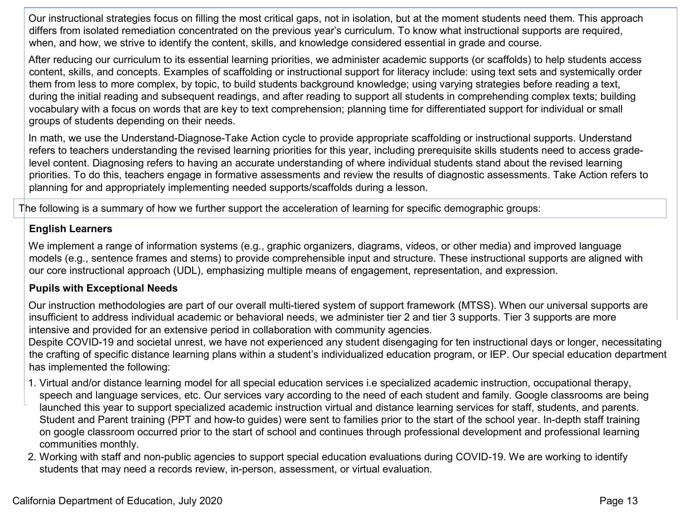Our instructional strategies focus on filling the most critical gaps, not in isolation, but at the moment students need them. This approach differs from isolated remediation concentrated on the previous year's curriculum. To know what instructional supports are required, when, and how, we strive to identify the content, skills, and knowledge considered essential in grade and course.

After reducing our curriculum to its essential learning priorities, we administer academic supports (or scaffolds) to help students access content, skills, and concepts. Examples of scaffolding or instructional support for literacy include: using text sets and systemically order them from less to more complex, by topic, to build students background knowledge; using varying strategies before reading a text, during the initial reading and subsequent readings, and after reading to support all students in comprehending complex texts; building vocabulary with a focus on words that are key to text comprehension; planning time for differentiated support for individual or small groups of students depending on their needs.

In math, we use the Understand-Diagnose-Take Action cycle to provide appropriate scaffolding or instructional supports. Understand refers to teachers understanding the revised learning priorities for this year, including prerequisite skills students need to access gradelevel content. Diagnosing refers to having an accurate understanding of where individual students stand about the revised learning priorities. To do this, teachers engage in formative assessments and review the results of diagnostic assessments. Take Action refers to planning for and appropriately implementing needed supports/scaffolds during a lesson.

The following is a summary of how we further support the acceleration of learning for specific demographic groups:

#### **English Learners**

We implement a range of information systems (e.g., graphic organizers, diagrams, videos, or other media) and improved language models (e.g., sentence frames and stems) to provide comprehensible input and structure. These instructional supports are aligned with our core instructional approach (UDL), emphasizing multiple means of engagement, representation, and expression.

#### **Pupils with Exceptional Needs**

Our instruction methodologies are part of our overall multi-tiered system of support framework (MTSS). When our universal supports are insufficient to address individual academic or behavioral needs, we administer tier 2 and tier 3 supports. Tier 3 supports are more intensive and provided for an extensive period in collaboration with community agencies.

Despite COVID-19 and societal unrest, we have not experienced any student disengaging for ten instructional days or longer, necessitating the crafting of specific distance learning plans within a student's individualized education program, or IEP. Our special education department has implemented the following:

- 1. Virtual and/or distance learning model for all special education services i.e specialized academic instruction, occupational therapy, speech and language services, etc. Our services vary according to the need of each student and family. Google classrooms are being launched this year to support specialized academic instruction virtual and distance learning services for staff, students, and parents. Student and Parent training (PPT and how-to guides) were sent to families prior to the start of the school year. In-depth staff training on google classroom occurred prior to the start of school and continues through professional development and professional learning communities monthly.
- 2. Working with staff and non-public agencies to support special education evaluations during COVID-19. We are working to identify students that may need a records review, in-person, assessment, or virtual evaluation.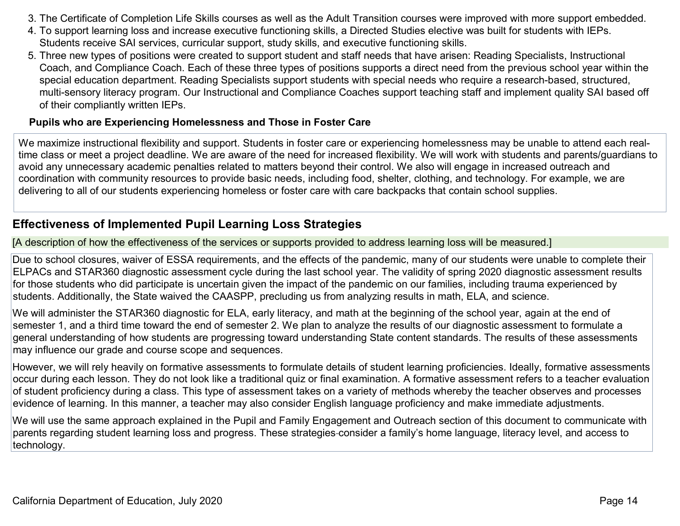- 3. The Certificate of Completion Life Skills courses as well as the Adult Transition courses were improved with more support embedded.
- 4. To support learning loss and increase executive functioning skills, a Directed Studies elective was built for students with IEPs. Students receive SAI services, curricular support, study skills, and executive functioning skills.
- 5. Three new types of positions were created to support student and staff needs that have arisen: Reading Specialists, Instructional Coach, and Compliance Coach. Each of these three types of positions supports a direct need from the previous school year within the special education department. Reading Specialists support students with special needs who require a research-based, structured, multi-sensory literacy program. Our Instructional and Compliance Coaches support teaching staff and implement quality SAI based off of their compliantly written IEPs.

#### **Pupils who are Experiencing Homelessness and Those in Foster Care**

We maximize instructional flexibility and support. Students in foster care or experiencing homelessness may be unable to attend each realtime class or meet a project deadline. We are aware of the need for increased flexibility. We will work with students and parents/guardians to avoid any unnecessary academic penalties related to matters beyond their control. We also will engage in increased outreach and coordination with community resources to provide basic needs, including food, shelter, clothing, and technology. For example, we are delivering to all of our students experiencing homeless or foster care with care backpacks that contain school supplies.

#### **Effectiveness of Implemented Pupil Learning Loss Strategies**

[A description of how the effectiveness of the services or supports provided to address learning loss will be measured.]

Due to school closures, waiver of ESSA requirements, and the effects of the pandemic, many of our students were unable to complete their ELPACs and STAR360 diagnostic assessment cycle during the last school year. The validity of spring 2020 diagnostic assessment results for those students who did participate is uncertain given the impact of the pandemic on our families, including trauma experienced by students. Additionally, the State waived the CAASPP, precluding us from analyzing results in math, ELA, and science.

We will administer the STAR360 diagnostic for ELA, early literacy, and math at the beginning of the school year, again at the end of semester 1, and a third time toward the end of semester 2. We plan to analyze the results of our diagnostic assessment to formulate a general understanding of how students are progressing toward understanding State content standards. The results of these assessments may influence our grade and course scope and sequences.

However, we will rely heavily on formative assessments to formulate details of student learning proficiencies. Ideally, formative assessments occur during each lesson. They do not look like a traditional quiz or final examination. A formative assessment refers to a teacher evaluation of student proficiency during a class. This type of assessment takes on a variety of methods whereby the teacher observes and processes evidence of learning. In this manner, a teacher may also consider English language proficiency and make immediate adjustments.

We will use the same approach explained in the Pupil and Family Engagement and Outreach section of this document to communicate with parents regarding student learning loss and progress. These strategies consider a family's home language, literacy level, and access to technology.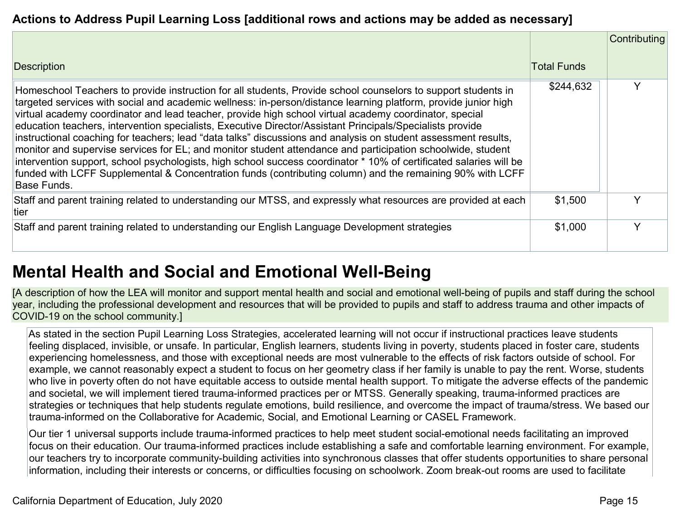### **Actions to Address Pupil Learning Loss [additional rows and actions may be added as necessary]**

|                                                                                                                                                                                                                                                                                                                                                                                                                                                                                                                                                                                                                                                                                                                                                                                                                                                                                                                                            |                    | Contributing |
|--------------------------------------------------------------------------------------------------------------------------------------------------------------------------------------------------------------------------------------------------------------------------------------------------------------------------------------------------------------------------------------------------------------------------------------------------------------------------------------------------------------------------------------------------------------------------------------------------------------------------------------------------------------------------------------------------------------------------------------------------------------------------------------------------------------------------------------------------------------------------------------------------------------------------------------------|--------------------|--------------|
| <b>Description</b>                                                                                                                                                                                                                                                                                                                                                                                                                                                                                                                                                                                                                                                                                                                                                                                                                                                                                                                         | <b>Total Funds</b> |              |
| Homeschool Teachers to provide instruction for all students, Provide school counselors to support students in<br>targeted services with social and academic wellness: in-person/distance learning platform, provide junior high<br>virtual academy coordinator and lead teacher, provide high school virtual academy coordinator, special<br>education teachers, intervention specialists, Executive Director/Assistant Principals/Specialists provide<br>instructional coaching for teachers; lead "data talks" discussions and analysis on student assessment results,<br>monitor and supervise services for EL; and monitor student attendance and participation schoolwide, student<br>intervention support, school psychologists, high school success coordinator * 10% of certificated salaries will be<br>funded with LCFF Supplemental & Concentration funds (contributing column) and the remaining 90% with LCFF<br>∥Base Funds. | \$244,632          |              |
| Staff and parent training related to understanding our MTSS, and expressly what resources are provided at each<br>tier                                                                                                                                                                                                                                                                                                                                                                                                                                                                                                                                                                                                                                                                                                                                                                                                                     | \$1,500            | $\checkmark$ |
| Staff and parent training related to understanding our English Language Development strategies                                                                                                                                                                                                                                                                                                                                                                                                                                                                                                                                                                                                                                                                                                                                                                                                                                             | \$1,000            | v            |

## **Mental Health and Social and Emotional Well-Being**

[A description of how the LEA will monitor and support mental health and social and emotional well-being of pupils and staff during the school year, including the professional development and resources that will be provided to pupils and staff to address trauma and other impacts of COVID-19 on the school community.]

As stated in the section Pupil Learning Loss Strategies, accelerated learning will not occur if instructional practices leave students feeling displaced, invisible, or unsafe. In particular, English learners, students living in poverty, students placed in foster care, students experiencing homelessness, and those with exceptional needs are most vulnerable to the effects of risk factors outside of school. For example, we cannot reasonably expect a student to focus on her geometry class if her family is unable to pay the rent. Worse, students who live in poverty often do not have equitable access to outside mental health support. To mitigate the adverse effects of the pandemic and societal, we will implement tiered trauma-informed practices per or MTSS. Generally speaking, trauma-informed practices are strategies or techniques that help students regulate emotions, build resilience, and overcome the impact of trauma/stress. We based our trauma-informed on the Collaborative for Academic, Social, and Emotional Learning or CASEL Framework.

Our tier 1 universal supports include trauma-informed practices to help meet student social-emotional needs facilitating an improved focus on their education. Our trauma-informed practices include establishing a safe and comfortable learning environment. For example, our teachers try to incorporate community-building activities into synchronous classes that offer students opportunities to share personal information, including their interests or concerns, or difficulties focusing on schoolwork. Zoom break-out rooms are used to facilitate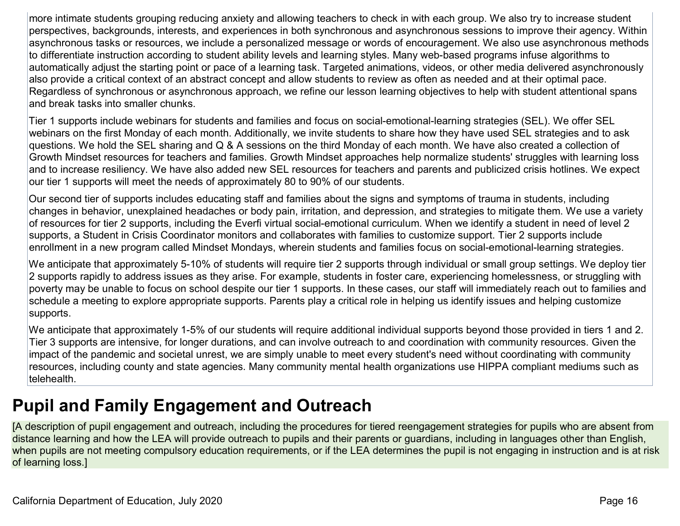more intimate students grouping reducing anxiety and allowing teachers to check in with each group. We also try to increase student perspectives, backgrounds, interests, and experiences in both synchronous and asynchronous sessions to improve their agency. Within asynchronous tasks or resources, we include a personalized message or words of encouragement. We also use asynchronous methods to differentiate instruction according to student ability levels and learning styles. Many web-based programs infuse algorithms to automatically adjust the starting point or pace of a learning task. Targeted animations, videos, or other media delivered asynchronously also provide a critical context of an abstract concept and allow students to review as often as needed and at their optimal pace. Regardless of synchronous or asynchronous approach, we refine our lesson learning objectives to help with student attentional spans and break tasks into smaller chunks.

Tier 1 supports include webinars for students and families and focus on social-emotional-learning strategies (SEL). We offer SEL webinars on the first Monday of each month. Additionally, we invite students to share how they have used SEL strategies and to ask questions. We hold the SEL sharing and Q & A sessions on the third Monday of each month. We have also created a collection of Growth Mindset resources for teachers and families. Growth Mindset approaches help normalize students' struggles with learning loss and to increase resiliency. We have also added new SEL resources for teachers and parents and publicized crisis hotlines. We expect our tier 1 supports will meet the needs of approximately 80 to 90% of our students.

Our second tier of supports includes educating staff and families about the signs and symptoms of trauma in students, including changes in behavior, unexplained headaches or body pain, irritation, and depression, and strategies to mitigate them. We use a variety of resources for tier 2 supports, including the Everfi virtual social-emotional curriculum. When we identify a student in need of level 2 supports, a Student in Crisis Coordinator monitors and collaborates with families to customize support. Tier 2 supports include enrollment in a new program called Mindset Mondays, wherein students and families focus on social-emotional-learning strategies.

We anticipate that approximately 5-10% of students will require tier 2 supports through individual or small group settings. We deploy tier 2 supports rapidly to address issues as they arise. For example, students in foster care, experiencing homelessness, or struggling with poverty may be unable to focus on school despite our tier 1 supports. In these cases, our staff will immediately reach out to families and schedule a meeting to explore appropriate supports. Parents play a critical role in helping us identify issues and helping customize supports.

We anticipate that approximately 1-5% of our students will require additional individual supports beyond those provided in tiers 1 and 2. Tier 3 supports are intensive, for longer durations, and can involve outreach to and coordination with community resources. Given the impact of the pandemic and societal unrest, we are simply unable to meet every student's need without coordinating with community resources, including county and state agencies. Many community mental health organizations use HIPPA compliant mediums such as telehealth.

## **Pupil and Family Engagement and Outreach**

[A description of pupil engagement and outreach, including the procedures for tiered reengagement strategies for pupils who are absent from distance learning and how the LEA will provide outreach to pupils and their parents or guardians, including in languages other than English, when pupils are not meeting compulsory education requirements, or if the LEA determines the pupil is not engaging in instruction and is at risk of learning loss.]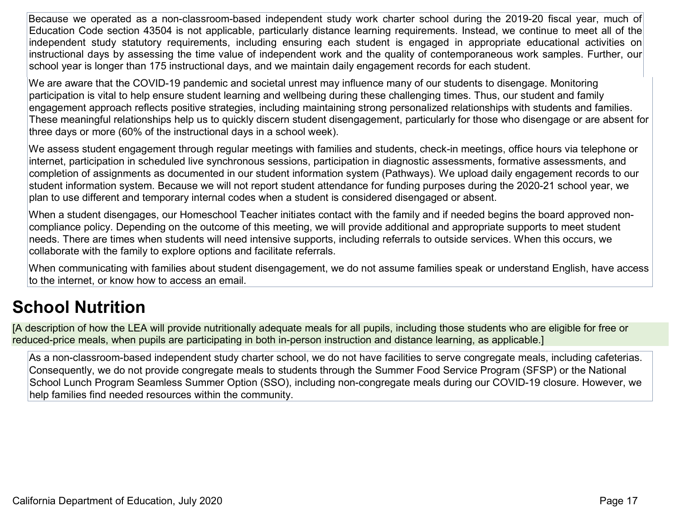Because we operated as a non-classroom-based independent study work charter school during the 2019-20 fiscal year, much of Education Code section 43504 is not applicable, particularly distance learning requirements. Instead, we continue to meet all of the independent study statutory requirements, including ensuring each student is engaged in appropriate educational activities on instructional days by assessing the time value of independent work and the quality of contemporaneous work samples. Further, our school year is longer than 175 instructional days, and we maintain daily engagement records for each student.

We are aware that the COVID-19 pandemic and societal unrest may influence many of our students to disengage. Monitoring participation is vital to help ensure student learning and wellbeing during these challenging times. Thus, our student and family engagement approach reflects positive strategies, including maintaining strong personalized relationships with students and families. These meaningful relationships help us to quickly discern student disengagement, particularly for those who disengage or are absent for three days or more (60% of the instructional days in a school week).

We assess student engagement through regular meetings with families and students, check-in meetings, office hours via telephone or internet, participation in scheduled live synchronous sessions, participation in diagnostic assessments, formative assessments, and completion of assignments as documented in our student information system (Pathways). We upload daily engagement records to our student information system. Because we will not report student attendance for funding purposes during the 2020-21 school year, we plan to use different and temporary internal codes when a student is considered disengaged or absent.

When a student disengages, our Homeschool Teacher initiates contact with the family and if needed begins the board approved noncompliance policy. Depending on the outcome of this meeting, we will provide additional and appropriate supports to meet student needs. There are times when students will need intensive supports, including referrals to outside services. When this occurs, we collaborate with the family to explore options and facilitate referrals.

When communicating with families about student disengagement, we do not assume families speak or understand English, have access to the internet, or know how to access an email.

## **School Nutrition**

[A description of how the LEA will provide nutritionally adequate meals for all pupils, including those students who are eligible for free or reduced-price meals, when pupils are participating in both in-person instruction and distance learning, as applicable.]

As a non-classroom-based independent study charter school, we do not have facilities to serve congregate meals, including cafeterias. Consequently, we do not provide congregate meals to students through the Summer Food Service Program (SFSP) or the National School Lunch Program Seamless Summer Option (SSO), including non-congregate meals during our COVID-19 closure. However, we help families find needed resources within the community.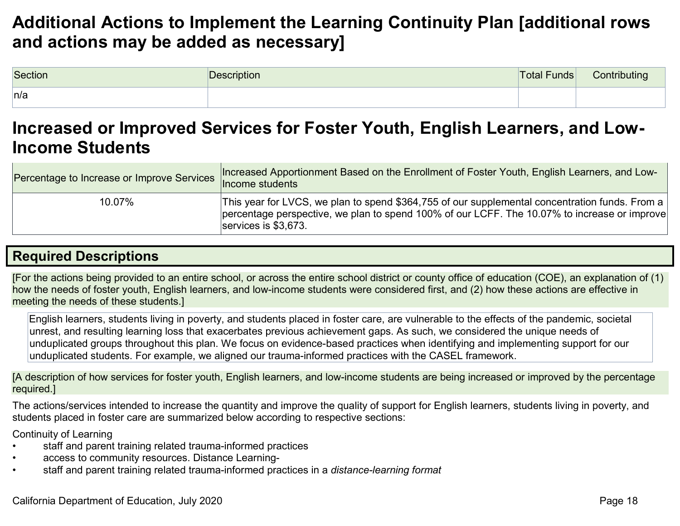## **Additional Actions to Implement the Learning Continuity Plan [additional rows and actions may be added as necessary]**

| Section | Description | Total Funds | Contributing |
|---------|-------------|-------------|--------------|
| n/a     |             |             |              |

## **Increased or Improved Services for Foster Youth, English Learners, and Low-Income Students**

| Percentage to Increase or Improve Services | Increased Apportionment Based on the Enrollment of Foster Youth, English Learners, and Low-<br>Income students                                                                                                                 |
|--------------------------------------------|--------------------------------------------------------------------------------------------------------------------------------------------------------------------------------------------------------------------------------|
| 10.07%                                     | This year for LVCS, we plan to spend \$364,755 of our supplemental concentration funds. From a $ $<br>percentage perspective, we plan to spend 100% of our LCFF. The 10.07% to increase or improve<br>$ $ services is \$3,673. |

## **Required Descriptions**

[For the actions being provided to an entire school, or across the entire school district or county office of education (COE), an explanation of (1) how the needs of foster youth, English learners, and low-income students were considered first, and (2) how these actions are effective in meeting the needs of these students.]

English learners, students living in poverty, and students placed in foster care, are vulnerable to the effects of the pandemic, societal unrest, and resulting learning loss that exacerbates previous achievement gaps. As such, we considered the unique needs of unduplicated groups throughout this plan. We focus on evidence-based practices when identifying and implementing support for our unduplicated students. For example, we aligned our trauma-informed practices with the CASEL framework.

[A description of how services for foster youth, English learners, and low-income students are being increased or improved by the percentage required.]

The actions/services intended to increase the quantity and improve the quality of support for English learners, students living in poverty, and students placed in foster care are summarized below according to respective sections:

Continuity of Learning

- staff and parent training related trauma-informed practices
- access to community resources. Distance Learning-
- staff and parent training related trauma-informed practices in a *distance-learning format*